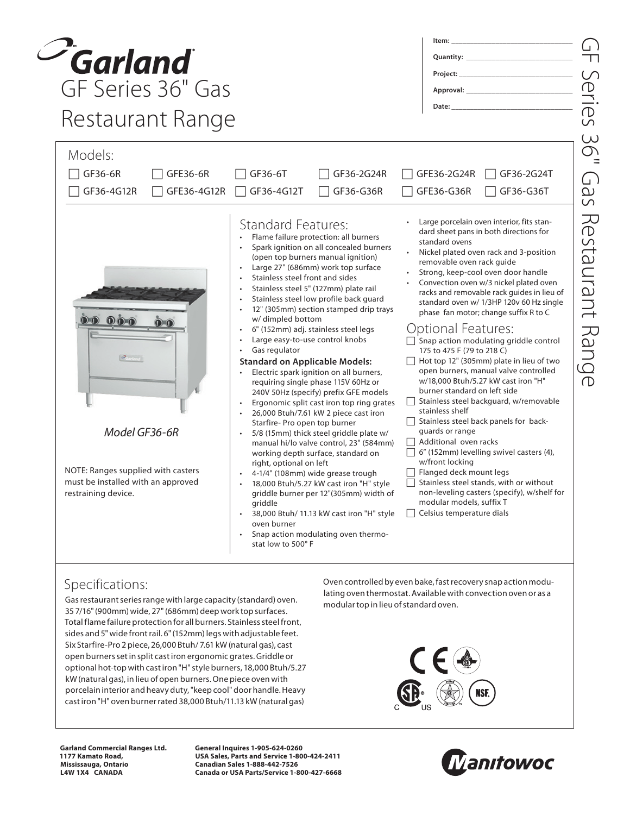| GF Series 36" Gas<br>Restaurant Range                                                                                                                       |                         |                                                                                                                                                                                                                                                                                                                                                                  | Project:<br>Approval:<br>Date:                                                                                                                                                                                                                                                                                                                                                                                                                                                                                                                                                                                                                                                                                                                                                                                                                                                               |                                                                                                                                                                                                                                                                                                                                                                                                                                                                                                                                                                                                                                                                                                                                                                                                                                                                                                                                                                                                                                                          |  |
|-------------------------------------------------------------------------------------------------------------------------------------------------------------|-------------------------|------------------------------------------------------------------------------------------------------------------------------------------------------------------------------------------------------------------------------------------------------------------------------------------------------------------------------------------------------------------|----------------------------------------------------------------------------------------------------------------------------------------------------------------------------------------------------------------------------------------------------------------------------------------------------------------------------------------------------------------------------------------------------------------------------------------------------------------------------------------------------------------------------------------------------------------------------------------------------------------------------------------------------------------------------------------------------------------------------------------------------------------------------------------------------------------------------------------------------------------------------------------------|----------------------------------------------------------------------------------------------------------------------------------------------------------------------------------------------------------------------------------------------------------------------------------------------------------------------------------------------------------------------------------------------------------------------------------------------------------------------------------------------------------------------------------------------------------------------------------------------------------------------------------------------------------------------------------------------------------------------------------------------------------------------------------------------------------------------------------------------------------------------------------------------------------------------------------------------------------------------------------------------------------------------------------------------------------|--|
| Models:<br>GF36-6R<br>GF36-4G12R                                                                                                                            | GFE36-6R<br>GFE36-4G12R | GF36-6T<br>GF36-4G12T                                                                                                                                                                                                                                                                                                                                            | GF36-2G24R<br>GF36-G36R                                                                                                                                                                                                                                                                                                                                                                                                                                                                                                                                                                                                                                                                                                                                                                                                                                                                      | GFE36-2G24R<br>GF36-2G24T<br>GF36-G36T<br>GFE36-G36R                                                                                                                                                                                                                                                                                                                                                                                                                                                                                                                                                                                                                                                                                                                                                                                                                                                                                                                                                                                                     |  |
| 00000<br>$\mathcal{P}_{\text{Gartree}}$<br>Model GF36-6R<br>NOTE: Ranges supplied with casters<br>must be installed with an approved<br>restraining device. | DIT                     | <b>Standard Features:</b><br>$\bullet$<br>Stainless steel front and sides<br>w/ dimpled bottom<br>٠<br>Large easy-to-use control knobs<br>Gas regulator<br>$\bullet$<br><b>Standard on Applicable Models:</b><br>$\bullet$<br>Starfire- Pro open top burner<br>$\bullet$<br>right, optional on left<br>griddle<br>oven burner<br>$\bullet$<br>stat low to 500° F | Flame failure protection: all burners<br>Spark ignition on all concealed burners<br>(open top burners manual ignition)<br>Large 27" (686mm) work top surface<br>Stainless steel 5" (127mm) plate rail<br>Stainless steel low profile back guard<br>12" (305mm) section stamped drip trays<br>6" (152mm) adj. stainless steel legs<br>Electric spark ignition on all burners,<br>requiring single phase 115V 60Hz or<br>240V 50Hz (specify) prefix GFE models<br>Ergonomic split cast iron top ring grates<br>26,000 Btuh/7.61 kW 2 piece cast iron<br>5/8 (15mm) thick steel griddle plate w/<br>manual hi/lo valve control, 23" (584mm)<br>working depth surface, standard on<br>4-1/4" (108mm) wide grease trough<br>18,000 Btuh/5.27 kW cast iron "H" style<br>griddle burner per 12"(305mm) width of<br>38,000 Btuh/ 11.13 kW cast iron "H" style<br>Snap action modulating oven thermo- | Large porcelain oven interior, fits stan-<br>dard sheet pans in both directions for<br>standard ovens<br>Nickel plated oven rack and 3-position<br>removable oven rack guide<br>Strong, keep-cool oven door handle<br>Convection oven w/3 nickel plated oven<br>racks and removable rack guides in lieu of<br>standard oven w/ 1/3HP 120v 60 Hz single<br>phase fan motor; change suffix R to C<br>Optional Features:<br>Snap action modulating griddle control<br>175 to 475 F (79 to 218 C)<br>Hot top 12" (305mm) plate in lieu of two<br>open burners, manual valve controlled<br>w/18,000 Btuh/5.27 kW cast iron "H"<br>burner standard on left side<br>Stainless steel backguard, w/removable<br>stainless shelf<br>Stainless steel back panels for back-<br>quards or range<br>Additional oven racks<br>6" (152mm) levelling swivel casters (4),<br>w/front locking<br>Flanged deck mount legs<br>Stainless steel stands, with or without<br>non-leveling casters (specify), w/shelf for<br>modular models, suffix T<br>Celsius temperature dials |  |

Gas restaurant series range with large capacity (standard) oven. 35 7/16"(900mm) wide, 27"(686mm) deep work top surfaces. Total flame failure protection for all burners. Stainless steel front, sides and 5" wide frontrail. 6"(152mm) legs with adjustable feet. Six Starfire-Pro 2 piece, 26,000 Btuh/ 7.61 kW (natural gas), cast open burnerssetin split castiron ergonomic grates.Griddle or optional hot-top with castiron "H"style burners, 18,000 Btuh/5.27 kW (natural gas), in lieu of open burners.One piece oven with porcelain interior and heavy duty,"keep cool" door handle.Heavy castiron "H" oven burnerrated 38,000 Btuh/11.13 kW (natural gas)

oven thermostat. Available with modular top in lieu of standard oven.



**Garland Commercial Ranges Ltd. 1177 Kamato Road, Mississauga, Ontario L4W 1X4 CANADA**

 $\subset$ 

**General Inquires 1-905-624-0260 USA Sales, Parts and Service 1-800-424-2411 Canadian Sales 1-888-442-7526 Canada or USA Parts/Service 1-800-427-6668**